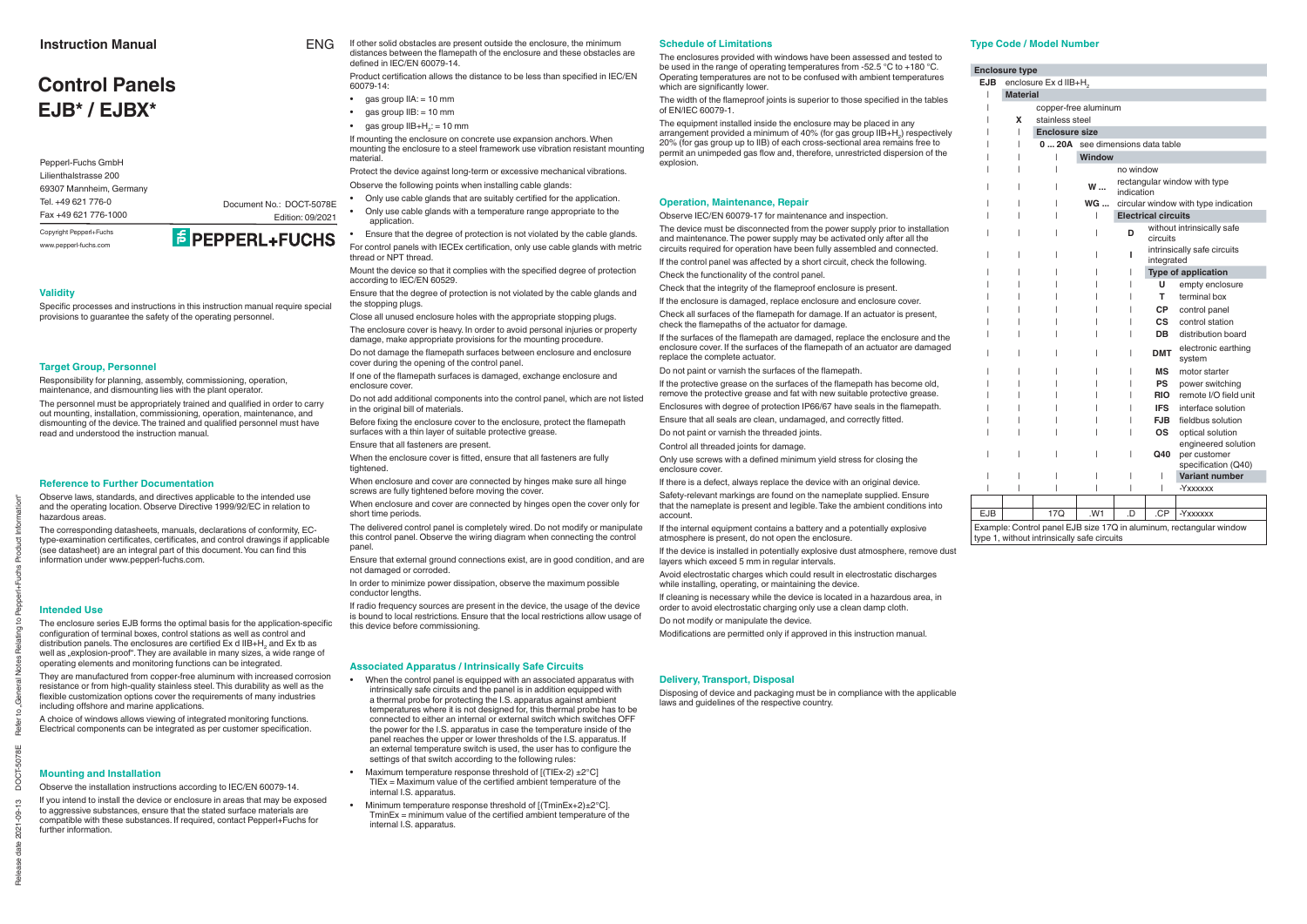Release date 2021-09-13 DOCT-5078E Refer to "General Notes Relating to Pepperl+Fuchs Product Information"

# **Validity**

Specific processes and instructions in this instruction manual require special provisions to guarantee the safety of the operating personnel.

#### **Target Group, Personnel**

The personnel must be appropriately trained and qualified in order to carry out mounting, installation, commissioning, operation, maintenance, and dismounting of the device. The trained and qualified personnel must have read and understood the instruction manual.

Responsibility for planning, assembly, commissioning, operation, maintenance, and dismounting lies with the plant operator.

#### **Reference to Further Documentation**

The enclosure series EJB forms the optimal basis for the application-specific configuration of terminal boxes, control stations as well as control and distribution panels. The enclosures are certified Ex d IIB+H<sub>2</sub> and Ex tb as well as  $explosion-proof$ . They are available in many sizes, a wide range of operating elements and monitoring functions can be integrated.

They are manufactured from copper-free aluminum with increased corrosion resistance or from high-quality stainless steel. This durability as well as the flexible customization options cover the requirements of many industries including offshore and marine applications.

Observe laws, standards, and directives applicable to the intended use and the operating location. Observe Directive 1999/92/EC in relation to hazardous areas.

A choice of windows allows viewing of integrated monitoring functions. Electrical components can be integrated as per customer specification.

The corresponding datasheets, manuals, declarations of conformity, ECtype-examination certificates, certificates, and control drawings if applicable (see datasheet) are an integral part of this document. You can find this information under www.pepperl-fuchs.com.

#### **Intended Use**

Product certification allows the distance to be less than specified in IEC/EN 60079-14:

- $\bullet$  gas group  $IIA := 10$  mm
- gas group IIB: = 10 mm
- gas group  $IIB+H_2$ : = 10 mm

- Only use cable glands that are suitably certified for the application.
- Only use cable glands with a temperature range appropriate to the application.
- Ensure that the degree of protection is not violated by the cable glands. For control panels with IECEx certification, only use cable glands with metric thread or NPT thread.

Mount the device so that it complies with the specified degree of protection according to IEC/EN 60529.

Do not damage the flamepath surfaces between enclosure and enclosure cover during the opening of the control panel.

If one of the flamepath surfaces is damaged, exchange enclosure and enclosure cover.

#### **Mounting and Installation**

Observe the installation instructions according to IEC/EN 60079-14.

Before fixing the enclosure cover to the enclosure, protect the flamepath surfaces with a thin layer of suitable protective grease.

When enclosure and cover are connected by hinges make sure all hinge screws are fully tightened before moving the cover.

If you intend to install the device or enclosure in areas that may be exposed to aggressive substances, ensure that the stated surface materials are compatible with these substances. If required, contact Pepperl+Fuchs for further information.

If mounting the enclosure on concrete use expansion anchors. When mounting the enclosure to a steel framework use vibration resistant mounting material.

Protect the device against long-term or excessive mechanical vibrations. Observe the following points when installing cable glands:

Ensure that the degree of protection is not violated by the cable glands and the stopping plugs.

Close all unused enclosure holes with the appropriate stopping plugs.

The enclosures provided with windows have been assessed and tested to be used in the range of operating temperatures from -52.5 °C to +180 °C. Operating temperatures are not to be confused with ambient temperatures which are significantly lower.

The enclosure cover is heavy. In order to avoid personal injuries or property damage, make appropriate provisions for the mounting procedure.

The width of the flameproof joints is superior to those specified in the tables of EN/IEC 60079-1.

Do not add additional components into the control panel, which are not listed in the original bill of materials.

Ensure that all fasteners are present.

When the enclosure cover is fitted, ensure that all fasteners are fully tightened.

If the surfaces of the flamepath are damaged, replace the enclosure and the enclosure cover. If the surfaces of the flamepath of an actuator are damaged replace the complete actuator.

Do not paint or varnish the surfaces of the flamepath.

When enclosure and cover are connected by hinges open the cover only for short time periods.

If the protective grease on the surfaces of the flamepath has become old, remove the protective grease and fat with new suitable protective grease.

Enclosures with degree of protection IP66/67 have seals in the flamepath. Ensure that all seals are clean, undamaged, and correctly fitted.

The delivered control panel is completely wired. Do not modify or manipulate this control panel. Observe the wiring diagram when connecting the control panel.

Only use screws with a defined minimum vield stress for closing the enclosure cover.

Ensure that external ground connections exist, are in good condition, and are not damaged or corroded.

In order to minimize power dissipation, observe the maximum possible conductor lengths.

If radio frequency sources are present in the device, the usage of the device is bound to local restrictions. Ensure that the local restrictions allow usage of this device before commissioning.

#### **Associated Apparatus / Intrinsically Safe Circuits**

- When the control panel is equipped with an associated apparatus with intrinsically safe circuits and the panel is in addition equipped with a thermal probe for protecting the I.S. apparatus against ambient temperatures where it is not designed for, this thermal probe has to be connected to either an internal or external switch which switches OFF the power for the I.S. apparatus in case the temperature inside of the panel reaches the upper or lower thresholds of the I.S. apparatus. If an external temperature switch is used, the user has to configure the settings of that switch according to the following rules:
- Maximum temperature response threshold of  $[(\text{TIEx-2}) \pm 2^{\circ}\text{C}]$  $TIEx = Maximum$  value of the certified ambient temperature of the internal I.S. apparatus.
- Minimum temperature response threshold of [(TminEx+2)±2°C].  $TminEx = minimum$  value of the certified ambient temperature of the internal I.S. apparatus.

#### **Type Code / Model Number**

If other solid obstacles are present outside the enclosure, the minimum distances between the flamepath of the enclosure and these obstacles are defined in IEC/EN 60079-14 ENG

|            | <b>Enclosure type</b> |                                   |                                           |            |                            |                                                                     |
|------------|-----------------------|-----------------------------------|-------------------------------------------|------------|----------------------------|---------------------------------------------------------------------|
| <b>EJB</b> |                       | enclosure Ex d IIB+H <sub>2</sub> |                                           |            |                            |                                                                     |
|            | <b>Material</b>       |                                   |                                           |            |                            |                                                                     |
|            |                       | copper-free aluminum              |                                           |            |                            |                                                                     |
|            | x                     | stainless steel                   |                                           |            |                            |                                                                     |
|            |                       | <b>Enclosure size</b>             |                                           |            |                            |                                                                     |
|            |                       | 020A                              | see dimensions data table                 |            |                            |                                                                     |
|            |                       |                                   | <b>Window</b>                             |            |                            |                                                                     |
|            |                       |                                   |                                           | no window  |                            |                                                                     |
|            |                       |                                   | W                                         | indication |                            | rectangular window with type                                        |
|            |                       |                                   | <b>WG</b>                                 |            |                            | circular window with type indication                                |
|            |                       |                                   |                                           |            | <b>Electrical circuits</b> |                                                                     |
|            |                       |                                   | without intrinsically safe<br>circuits    |            |                            |                                                                     |
|            |                       |                                   | intrinsically safe circuits<br>integrated |            |                            |                                                                     |
|            |                       |                                   | <b>Type of application</b>                |            |                            |                                                                     |
|            |                       |                                   |                                           |            | U                          | empty enclosure                                                     |
|            |                       |                                   |                                           |            | т                          | terminal box                                                        |
|            |                       |                                   |                                           |            | <b>CP</b>                  | control panel                                                       |
|            |                       |                                   |                                           |            | <b>CS</b>                  | control station                                                     |
|            |                       |                                   |                                           |            | <b>DB</b>                  | distribution board                                                  |
|            |                       |                                   |                                           |            | <b>DMT</b>                 | electronic earthing<br>system                                       |
|            |                       |                                   |                                           |            | <b>MS</b>                  | motor starter                                                       |
|            |                       |                                   |                                           |            | <b>PS</b>                  | power switching                                                     |
|            |                       |                                   |                                           |            | <b>RIO</b>                 | remote I/O field unit                                               |
|            |                       |                                   |                                           |            | <b>IFS</b>                 | interface solution                                                  |
|            |                       |                                   |                                           |            | <b>FJB</b>                 | fieldbus solution                                                   |
|            |                       |                                   |                                           |            | <b>OS</b>                  | optical solution                                                    |
|            |                       |                                   |                                           |            | Q40                        | engineered solution<br>per customer<br>specification (Q40)          |
|            |                       |                                   |                                           |            |                            | <b>Variant number</b>                                               |
|            |                       |                                   |                                           |            |                            | -Yxxxxxx                                                            |
|            |                       |                                   |                                           |            |                            |                                                                     |
| <b>EJB</b> |                       | 17Q                               | .W1                                       | .D         | .CP                        | -Yxxxxxx                                                            |
|            |                       |                                   |                                           |            |                            | Example: Control panel EJB size 17Q in aluminum, rectangular window |

type 1, without intrinsically safe circuits

# **Control PanelsEJB\* / EJBX\***

#### **Schedule of Limitations**

The equipment installed inside the enclosure may be placed in any arrangement provided a minimum of 40% (for gas group IIB+H<sub>2</sub>) respectively 20% (for gas group up to IIB) of each cross-sectional area remains free to permit an unimpeded gas flow and, therefore, unrestricted dispersion of the explosion.

#### **Operation, Maintenance, Repair**

Observe IEC/EN 60079-17 for maintenance and inspection.

The device must be disconnected from the power supply prior to installation and maintenance. The power supply may be activated only after all the circuits required for operation have been fully assembled and connected.

If the control panel was affected by a short circuit, check the following.

Check the functionality of the control panel.

Check that the integrity of the flameproof enclosure is present.

If the enclosure is damaged, replace enclosure and enclosure cover.

Check all surfaces of the flamepath for damage. If an actuator is present, check the flamenaths of the actuator for damage

Do not paint or varnish the threaded joints.

Control all threaded joints for damage.

If there is a defect, always replace the device with an original device.

Safety-relevant markings are found on the nameplate supplied. Ensure that the nameplate is present and legible. Take the ambient conditions into account.

If the internal equipment contains a battery and a potentially explosive atmosphere is present, do not open the enclosure.

If the device is installed in potentially explosive dust atmosphere, remove dust layers which exceed 5 mm in regular intervals.

Avoid electrostatic charges which could result in electrostatic discharges while installing, operating, or maintaining the device.

If cleaning is necessary while the device is located in a hazardous area, in order to avoid electrostatic charging only use a clean damp cloth.

Do not modify or manipulate the device.

Modifications are permitted only if approved in this instruction manual.

#### **Delivery, Transport, Disposal**

Disposing of device and packaging must be in compliance with the applicable laws and guidelines of the respective country.

# **Instruction Manual**

Pepperl-Fuchs GmbH Lilienthalstrasse 20069307 Mannheim, Germany Tel. +49 621 776-0Fax +49 621 776-1000

Document No.: DOCT-5078E

Edition: 09/2021

Copyright Pepperl+Fuchs www.pepperl-fuchs.com

# **F PEPPERL+FUCHS**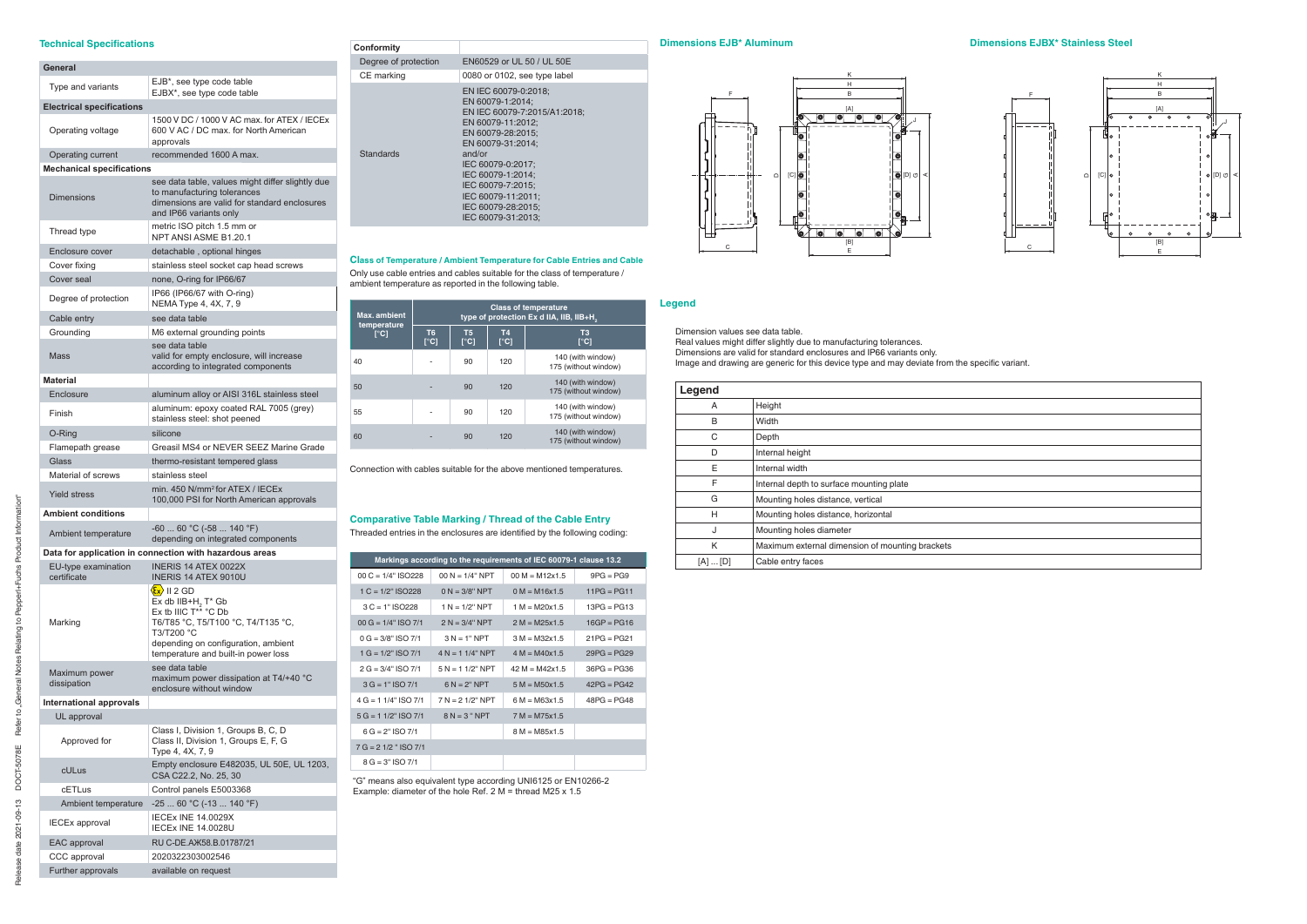#### **Technical Specifications**

| General                            |                                                                                                                                                                                                                                                                        |
|------------------------------------|------------------------------------------------------------------------------------------------------------------------------------------------------------------------------------------------------------------------------------------------------------------------|
| Type and variants                  | EJB*, see type code table<br>EJBX*, see type code table                                                                                                                                                                                                                |
| <b>Electrical specifications</b>   |                                                                                                                                                                                                                                                                        |
| Operating voltage                  | 1500 V DC / 1000 V AC max, for ATEX / IECEx<br>600 V AC / DC max, for North American<br>approvals                                                                                                                                                                      |
| Operating current                  | recommended 1600 A max.                                                                                                                                                                                                                                                |
| <b>Mechanical specifications</b>   |                                                                                                                                                                                                                                                                        |
| <b>Dimensions</b>                  | see data table, values might differ slightly due<br>to manufacturing tolerances<br>dimensions are valid for standard enclosures<br>and IP66 variants only                                                                                                              |
| Thread type                        | metric ISO pitch 1.5 mm or<br>NPT ANSI ASME B1.20.1                                                                                                                                                                                                                    |
| Enclosure cover                    | detachable, optional hinges                                                                                                                                                                                                                                            |
| Cover fixing                       | stainless steel socket cap head screws                                                                                                                                                                                                                                 |
| Cover seal                         | none, O-ring for IP66/67                                                                                                                                                                                                                                               |
| Degree of protection               | IP66 (IP66/67 with O-ring)<br>NEMA Type 4, 4X, 7, 9                                                                                                                                                                                                                    |
| Cable entry                        | see data table                                                                                                                                                                                                                                                         |
| Grounding                          | M6 external grounding points                                                                                                                                                                                                                                           |
| Mass                               | see data table<br>valid for empty enclosure, will increase<br>according to integrated components                                                                                                                                                                       |
| <b>Material</b>                    |                                                                                                                                                                                                                                                                        |
| Enclosure                          | aluminum alloy or AISI 316L stainless steel                                                                                                                                                                                                                            |
| Finish                             | aluminum: epoxy coated RAL 7005 (grey)<br>stainless steel: shot peened                                                                                                                                                                                                 |
| O-Ring                             | silicone                                                                                                                                                                                                                                                               |
| Flamepath grease                   | Greasil MS4 or NEVER SEEZ Marine Grade                                                                                                                                                                                                                                 |
| Glass                              | thermo-resistant tempered glass                                                                                                                                                                                                                                        |
| Material of screws                 | stainless steel                                                                                                                                                                                                                                                        |
| <b>Yield stress</b>                | min. 450 N/mm <sup>2</sup> for ATEX / IECEx<br>100,000 PSI for North American approvals                                                                                                                                                                                |
| <b>Ambient conditions</b>          |                                                                                                                                                                                                                                                                        |
| Ambient temperature                | $-6060 °C (-58140 °F)$<br>depending on integrated components                                                                                                                                                                                                           |
|                                    | Data for application in connection with hazardous areas                                                                                                                                                                                                                |
| EU-type examination<br>certificate | <b>INERIS 14 ATEX 0022X</b><br><b>INERIS 14 ATEX 9010U</b>                                                                                                                                                                                                             |
| Marking                            | $\langle \mathbf{\hat{E}x} \rangle$ II 2 GD<br>$Ex$ db IIB+H <sub>2</sub> T <sup>*</sup> Gb<br>Ex tb IIIC $T^{*\tilde{\star}}$ °C Db<br>T6/T85 °C, T5/T100 °C, T4/T135 °C,<br>T3/T200 °C<br>depending on configuration, ambient<br>temperature and built-in power loss |
| Maximum power<br>dissipation       | see data table<br>maximum power dissipation at T4/+40 °C<br>enclosure without window                                                                                                                                                                                   |
| <b>International approvals</b>     |                                                                                                                                                                                                                                                                        |
| UL approval                        |                                                                                                                                                                                                                                                                        |
| Approved for                       | Class I, Division 1, Groups B, C, D<br>Class II, Division 1, Groups E, F, G<br>Type 4, 4X, 7, 9                                                                                                                                                                        |
| cULus                              | Empty enclosure E482035, UL 50E, UL 1203,<br>CSA C22.2, No. 25, 30                                                                                                                                                                                                     |
| cETLus                             | Control panels E5003368                                                                                                                                                                                                                                                |
| Ambient temperature                | $-2560 °C (-13140 °F)$                                                                                                                                                                                                                                                 |
| <b>IECEx approval</b>              | <b>IECEX INE 14.0029X</b><br><b>IECEX INE 14.0028U</b>                                                                                                                                                                                                                 |
| EAC approval                       | RU C-DE.AX58.B.01787/21                                                                                                                                                                                                                                                |
| CCC approval                       | 2020322303002546                                                                                                                                                                                                                                                       |
| Further approvals                  | available on request                                                                                                                                                                                                                                                   |

#### **Conformity**  Degree of protection EN60529 or UL 50 / UL 50E CE marking 0080 or 0102, see type label Standards EN IEC 60079-0:2018; EN 60079-1:2014; EN IEC 60079-7:2015/A1:2018; EN 60079-11:2012; EN 60079-28:2015; EN 60079-31:2014; and/or IEC 60079-0:2017; IEC 60079-1:2014; IEC 60079-7:2015; IEC 60079-11:2011; IEC 60079-28:2015; IEC 60079-31:2013;

### **Class of Temperature / Ambient Temperature for Cable Entries and Cable**

Only use cable entries and cables suitable for the class of temperature / ambient temperature as reported in the following table.

| Max. ambient                |                                |                                                              |                           | <b>Class of temperature</b><br>type of protection Ex d IIA, IIB, IIB+H. |
|-----------------------------|--------------------------------|--------------------------------------------------------------|---------------------------|-------------------------------------------------------------------------|
| temperature<br>$\Gamma$ °C1 | T <sub>6</sub><br>$\Gamma$ °C1 | T <sub>5</sub><br>$\Gamma$ <sup><math>\text{Cl}</math></sup> | <b>T4</b><br>$\lceil$ °C] | T <sub>3</sub><br>$\Gamma$ <sup>o</sup> Cl                              |
| 40                          |                                | 90                                                           | 120                       | 140 (with window)<br>175 (without window)                               |
| 50                          |                                | 90                                                           | 120                       | 140 (with window)<br>175 (without window)                               |
| 55                          |                                | 90                                                           | 120                       | 140 (with window)<br>175 (without window)                               |
| 60                          |                                | 90                                                           | 120                       | 140 (with window)<br>175 (without window)                               |

Connection with cables suitable for the above mentioned temperatures.

# **Comparative Table Marking / Thread of the Cable Entry**

Threaded entries in the enclosures are identified by the following coding:

|                        |                    | Markings according to the requirements of IEC 60079-1 clause 13.2 |               |
|------------------------|--------------------|-------------------------------------------------------------------|---------------|
| $00 C = 1/4"$ ISO228   | $00 N = 1/4" NPT$  | $00 M = M12x1.5$                                                  | $9PG = PG9$   |
| $1 C = 1/2$ " ISO228   | $0 N = 3/8" NPT$   | $0 M = M16x1.5$                                                   | $11PG = PG11$ |
| $3 C = 1" ISO 228$     | $1 N = 1/2" NPT$   | $1 M = M20x1.5$                                                   | $13PG = PG13$ |
| $00 G = 1/4" ISO 7/1$  | $2 N = 3/4" NPT$   | $2 M = M25x1.5$                                                   | $16GP = PG16$ |
| $0 G = 3/8"$ ISO 7/1   | $3 N = 1" NPT$     | $3 M = M32x1.5$                                                   | $21PG = PG21$ |
| $1 G = 1/2" ISO 7/1$   | $4 N = 1 1/4" NPT$ | $4 M = M40x1.5$                                                   | $29PG = PG29$ |
| $2 G = 3/4" ISO 7/1$   | $5 N = 11/2$ " NPT | $42 M = M42x1.5$                                                  | $36PG = PG36$ |
| $3 G = 1" ISO 7/1$     | $6 N = 2" NPT$     | $5 M = M50x1.5$                                                   | $42PG = PG42$ |
| $4 G = 1 1/4" ISO 7/1$ | $7 N = 21/2" NPT$  | $6 M = M63x1.5$                                                   | $48PG = PG48$ |
| $5 G = 1 1/2" ISO 7/1$ | $8 N = 3 " NPT$    | $7 M = M75x1.5$                                                   |               |
| $6 G = 2" ISO 7/1$     |                    | $8 M = M85x1.5$                                                   |               |
| $7 G = 21/2$ " ISO 7/1 |                    |                                                                   |               |
| $8 G = 3" ISO 7/1$     |                    |                                                                   |               |

"G" means also equivalent type according UNI6125 or EN10266-2 Example: diameter of the hole Ref. 2 M = thread M25 x 1.5

#### **Dimensions EJB\* Aluminum**



### **Legend**

Dimension values see data table.

Real values might differ slightly due to manufacturing tolerances. Dimensions are valid for standard enclosures and IP66 variants only. Image and drawing are generic for this device type and may deviate from the specific variant.

| Legend          |                                                 |
|-----------------|-------------------------------------------------|
| A               | Height                                          |
| B               | Width                                           |
| С               | Depth                                           |
| D               | Internal height                                 |
| Е               | Internal width                                  |
| F               | Internal depth to surface mounting plate        |
| G               | Mounting holes distance, vertical               |
| н               | Mounting holes distance, horizontal             |
| J               | Mounting holes diameter                         |
| K               | Maximum external dimension of mounting brackets |
| $[A] \dots [D]$ | Cable entry faces                               |

#### **Dimensions EJBX\* Stainless Steel**



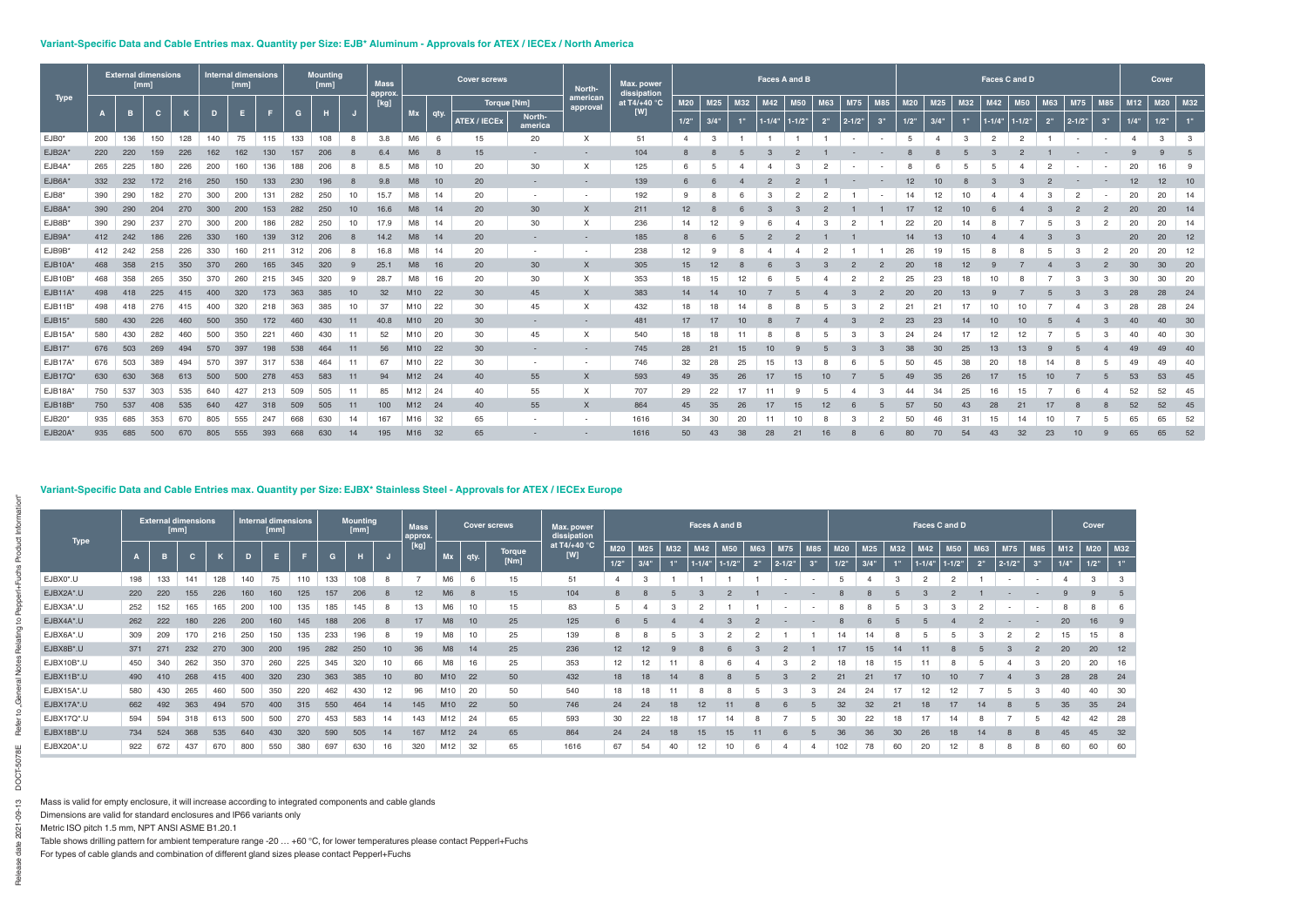# Variant-Specific Data and Cable Entries max. Quantity per Size: EJB<sup>\*</sup> Aluminum - Approvals for ATEX / IECEx / North America

|             |     | [mm] | <b>External dimensions</b> |     |     | <b>Internal dimensions</b><br>[mm] |     |     | <b>Mounting</b><br>[mm] |    | <b>Mass</b><br>approx. |                 |      | <b>Cover screws</b> |                          | North-               | Max. power<br>dissipation |                |                |     | Faces A and B |            |     |                          |                |            |                 |     | Faces C and D       |                |     |                          |               |                | Cover     |    |
|-------------|-----|------|----------------------------|-----|-----|------------------------------------|-----|-----|-------------------------|----|------------------------|-----------------|------|---------------------|--------------------------|----------------------|---------------------------|----------------|----------------|-----|---------------|------------|-----|--------------------------|----------------|------------|-----------------|-----|---------------------|----------------|-----|--------------------------|---------------|----------------|-----------|----|
| <b>Type</b> |     |      |                            |     |     |                                    |     |     |                         |    | [kg]                   |                 |      | Torque [Nm]         |                          | american<br>approval | at T4/+40 $\degree$ C     | M20            | M25            | M32 | M42           | <b>M50</b> | M63 | <b>M75</b>               | <b>M85</b>     | <b>M20</b> | M <sub>25</sub> | M32 | M42                 | <b>M50</b>     | M63 | M75                      | M85           | M12            | $M20$ M32 |    |
|             |     |      | C.                         |     |     | Е                                  |     | G   |                         |    |                        | Mx              | qty. | <b>ATEX / IECEX</b> | North-<br>america        |                      | [W]                       | $1/2$ "        | 3/4"           | 1"  | $1 - 1/4$ "   | $1 - 1/2"$ | 2"  | $ 2 - 1/2"$              | 3"             | $1/2$ "    | 3/4"            | 1"  | $1 - 1/4" 1 - 1/2"$ |                | 2"  | $ 2 - 1/2"$              | 3"            | 1/4"           | $1/2$ "   |    |
| EJB0*       | 200 | 136  | 150                        | 128 | 140 | 75                                 | 115 | 133 | 108                     | 8  | 3.8                    | M <sub>6</sub>  | 6    | 15                  | 20                       | X                    | 51                        | $\overline{4}$ | 3              |     |               |            |     | $\overline{\phantom{a}}$ |                |            |                 | 3   | $\overline{2}$      | $\overline{2}$ |     | $\overline{\phantom{a}}$ | $\sim$        | $\overline{4}$ | 3         | 3  |
| EJB2A*      | 220 | 220  | 159                        | 226 | 162 | 162                                | 130 | 157 | 206                     |    | 6.4                    | M <sub>6</sub>  |      | 15                  |                          |                      | 104                       |                |                |     |               |            |     |                          |                |            |                 |     |                     |                |     |                          |               |                |           |    |
| EJB4A*      | 265 | 225  | 180                        | 226 | 200 | 160                                | 136 | 188 | 206                     |    | 8.5                    | M <sub>8</sub>  | 10   | 20                  | 30                       | $\times$             | 125                       |                | 5              |     |               | З          |     | $\sim$                   |                |            |                 |     |                     |                |     |                          | $\sim$        | 20             | 16        | -9 |
| EJB6A*      | 332 | 232  | 172                        | 216 | 250 | 150                                | 133 | 230 |                         |    | 9.8                    | M <sub>8</sub>  | 10   | 20                  |                          |                      | 139                       |                |                |     |               |            |     |                          |                |            |                 |     |                     |                |     |                          |               |                | 12        | 10 |
| EJB8*       | 390 | 290  | 182                        | 270 | 300 | 200                                | 131 | 282 | 250                     | 10 | 15.7                   | M8              | 14   | 20                  | $\overline{\phantom{a}}$ | $\sim$               | 192                       |                |                |     |               |            |     |                          |                | 14         | 12              | 10  |                     |                |     | $\overline{2}$           |               | 20             | 20        | 14 |
| EJB8A*      | 390 | 290  |                            | 270 | 300 | 200                                | 153 | 282 | 250                     | 10 | 16.6                   | M <sub>8</sub>  | 14   | 20                  | 30                       | $\times$             | 211                       | 12             |                |     |               |            |     |                          |                |            |                 |     |                     |                |     |                          |               | 20             | 20        | 14 |
| EJB8B*      | 390 | 290  | 237                        | 27( | 300 | 200                                | 186 | 282 | 250                     |    |                        | M8              | 14   | 20                  | 30                       | X                    | 236                       | 14             |                |     |               |            |     |                          |                | 22         | 20              |     |                     |                |     |                          |               | 20             | 20        | 14 |
| EJB9A*      | 412 | 242  | 186                        | 226 | 330 | 160                                | 139 |     |                         |    | 14.2                   | M <sub>8</sub>  | 14   | 20                  |                          |                      | 185                       |                |                |     |               |            |     |                          |                | 14         | 13              | 10  |                     |                |     |                          |               | 20             | 20        | 12 |
| EJB9B*      | 412 | 242  | 258                        | 226 | 330 | 160                                | 211 | 312 |                         |    | 16.8                   | M <sub>8</sub>  | 14   | 20                  | $\sim$                   |                      | 238                       | 12             | 9              |     |               |            |     |                          |                | 26         | 19              | 15  |                     |                |     |                          | $\mathcal{P}$ | 20             | 20        | 12 |
| EJB10A*     | 468 | 358  | 215                        | 350 | 370 | 260                                | 165 |     |                         |    | 25.1                   | M <sub>8</sub>  | 16   | 20                  | 30                       | $\times$             | 305                       | 15             |                |     |               |            |     |                          |                |            |                 | 12  |                     |                |     |                          |               |                | 30        | 20 |
| EJB10B      | 468 | 358  | 265                        | 350 | 370 | 260                                | 215 | 345 | 320                     | -9 | 28.7                   | M <sub>8</sub>  | 16   | 20                  | 30                       | X                    | 353                       | 18             |                | 12  |               |            |     | $\overline{2}$           | $\overline{2}$ | 25         | 23              | 18  |                     |                |     | 3                        |               | 30             | 30        | 20 |
| EJB11A*     | 498 | 418  | 225                        |     | 400 | 320                                | 173 | 363 |                         |    | 32                     | M <sub>10</sub> | 22   | 30                  | 45                       | $\times$             | 383                       | 14             |                |     |               |            |     |                          |                |            | 20              | 13  |                     |                |     |                          |               |                | 28        | 24 |
| EJB11B*     | 498 |      | 276                        | 415 | 400 | 320                                | 218 | 363 | 385                     | 10 | 37                     | M10             | 22   | 30                  | 45                       | X                    | 432                       | 18             |                |     |               |            |     |                          | $\overline{2}$ | 21         | 21              | 17  |                     |                |     |                          |               | 28             | 28        | 24 |
| $EJB15*$    | 580 | 430  | 226                        |     | 500 | 350                                | 172 |     |                         |    | 40.8                   | M10             | - 20 | 30                  |                          |                      | 481                       | 17             |                |     |               |            |     |                          |                |            | 23              |     |                     |                |     |                          |               |                | 40        | 30 |
| EJB15A      | 580 | 430  | 282                        |     | 500 |                                    | 221 |     |                         | 11 | 52                     | M10             | 20   | 30                  | 45                       | X                    | 540                       | 18             |                |     |               |            |     |                          |                |            | 24              |     |                     |                |     |                          |               |                | 40        | 30 |
| EJB17*      | 676 | 503  | 269                        |     | 570 | 397                                | 198 | 538 |                         | 11 | 56                     | M10             | 22   | 30                  |                          |                      | 745                       | 28             | 2 <sup>1</sup> | 15  |               |            |     |                          |                |            | 3 <sup>c</sup>  | 25  |                     | 13             |     |                          |               |                | 49        | 40 |
| EJB17A*     | 676 | 503  | 389                        |     | 570 | 397                                | 317 | 538 |                         | 11 | 67                     | M10             | 22   | 30                  |                          |                      | 746                       | 32             | 28             | 25  |               |            |     |                          |                |            |                 | 38  |                     |                |     |                          |               |                | 49        | 40 |
| EJB17Q*     | 630 | 630  |                            |     |     |                                    | 278 |     |                         |    | 94                     | M12             | -24  | 40                  | 55                       | $\times$             | 593                       | 49             | 35             | 26  |               |            |     |                          |                |            |                 | 26  |                     |                |     |                          |               |                | 53        | 45 |
| EJB18A*     | 750 | 537  | 303                        | 535 | 640 | 427                                | 213 | 509 | 505                     | 11 | 85                     | M12             | 24   | 40                  | 55                       | X                    | 707                       | 29             | 22             |     |               |            |     |                          |                |            | 34              | 25  |                     | 15             |     |                          |               | 52             | 52        | 45 |
| EJB18B*     | 750 | 537  |                            | 535 |     |                                    | 318 |     | 505                     |    | 100                    | M <sub>12</sub> | 24   | 40                  | 55                       | $\times$             | 864                       | 45             | 35             | 26  |               |            |     |                          |                |            | 50              | 43  | 28                  | 21             |     |                          |               | 52             | 52        | 45 |
| EJB20*      | 935 | 685  | 353                        |     | 805 | 555                                | 247 | 668 | 630                     | 14 | 167                    | M16             | 32   | 65                  |                          |                      | 1616                      | 34             | 30             | 20  |               | 10         |     |                          | $\circ$        | 50         |                 |     |                     |                |     |                          |               | 65             | 65        | 52 |
| EJB20A*     | 935 | 685  |                            | 670 | 805 | 555                                | 393 | 668 | 630                     |    | 195                    | M16             | -32  | 65                  |                          |                      | 1616                      | 50             |                | 38  |               |            |     |                          |                |            |                 |     |                     | 32             |     |                          |               | 65             | 65        | 52 |

# Variant-Specific Data and Cable Entries max. Quantity per Size: EJBX\* Stainless Steel - Approvals for ATEX / IECEx Europe

|             |     | <b>External dimensions</b><br>[mm] |     |     |     | Internal dimensions<br>[mm] |     |     | <b>Mounting</b><br>[mm] |                 | <b>Mass</b><br>approx. |                 |      | <b>Cover screws</b> | Max. power<br>dissipation |                 |                 |     |                  | Faces A and B |                |            |                |            |         |     |                 | Faces C and D  |                |            |                 |      | Cover           |     |
|-------------|-----|------------------------------------|-----|-----|-----|-----------------------------|-----|-----|-------------------------|-----------------|------------------------|-----------------|------|---------------------|---------------------------|-----------------|-----------------|-----|------------------|---------------|----------------|------------|----------------|------------|---------|-----|-----------------|----------------|----------------|------------|-----------------|------|-----------------|-----|
| <b>Type</b> |     |                                    |     |     |     |                             |     | G   |                         |                 | $\sqrt{[kg]}$          |                 |      | <b>Torque</b>       | at T4/+40 °C<br>[W]       | <b>M20</b>      | M <sub>25</sub> | M32 | M42              | <b>M50</b>    | M63            | <b>M75</b> | <b>M85</b>     | <b>M20</b> | M25     | M32 | M42             | <b>M50</b>     | M63            | <b>M75</b> | <b>M85</b>      | M12  | M <sub>20</sub> | M32 |
|             |     |                                    |     |     |     |                             |     |     |                         |                 |                        |                 | qty. | [Nm]                |                           | 1/2"            | 3/4"            |     | $1 - 1/4$        | $-1/2"$       | 2 <sup>n</sup> | $2 - 1/2"$ | 2 <sub>0</sub> | 1/2"       | $3/4$ " |     | $1 - 1/4$       | $1 - 1/2"$     | 2 <sup>0</sup> | $2 - 1/2"$ | 2 <sup>11</sup> | 1/4" | 1/2"            |     |
| EJBX0*.U    | 198 | 133                                | 141 | 128 | 140 | 75                          | 110 | 133 | 108                     |                 |                        | M <sub>6</sub>  |      | 15                  | 51                        | $\overline{4}$  | 3               |     |                  |               |                | $\sim$     |                | 5          |         |     | 2               | $\overline{2}$ |                | $\sim$     |                 |      | 3               | - 3 |
| EJBX2A*.U   | 220 | 220                                | 155 | 226 | 160 | 160                         | 125 | 157 | 206                     |                 | 12 <sup>2</sup>        | M <sub>6</sub>  | - 8  | 15                  | 104                       | $\mathcal{B}$   |                 |     |                  |               |                |            |                |            |         |     |                 |                |                |            |                 |      |                 |     |
| EJBX3A*.U   | 252 | 152                                | 165 | 165 | 200 | 100                         | 135 | 185 | 145                     |                 | 13                     | M <sub>6</sub>  | 10   | 15                  | 83                        | $5\overline{)}$ |                 |     |                  |               |                |            |                | 8          | 8       |     | 3               | 3              |                |            |                 |      | 8               |     |
| EJBX4A*.U   | 262 | 222                                | 180 | 226 | 200 | 160                         | 145 | 188 | 206                     |                 | 17                     | M <sub>8</sub>  | 10   | 25                  | 125                       |                 |                 |     |                  |               |                |            |                |            |         |     |                 |                |                |            |                 | 20   |                 |     |
| EJBX6A*.U   | 309 | 209                                | 170 | 216 | 250 | 150                         | 135 | 233 | 196                     |                 | 19                     | M8              | 10   | 25                  | 139                       | 8               | 8               |     |                  |               | 2              |            |                |            | 14      |     |                 |                |                | 2          |                 | 15   | 15              |     |
| EJBX8B*.U   | 371 | 271                                | 232 | 270 | 300 | 200                         | 195 | 282 | 250                     | 10 <sup>1</sup> | 36                     | M <sub>8</sub>  | 14   | 25                  | 236                       | 12              | 12              |     |                  |               |                |            |                |            | 15      |     |                 |                |                |            |                 | 20   | 20              | 12  |
| EJBX10B*.U  | 450 | 340                                | 262 | 350 | 370 | 260                         | 225 | 345 | 320                     | 10              | 66                     | M8              | 16   | 25                  | 353                       | 12              | 12              |     |                  |               |                | 3          |                | 18         | 18      | 15  |                 | 8              |                |            |                 | 20   | 20              | 16  |
| EJBX11B*.U  | 490 | 410                                | 268 | 415 | 400 | 320                         | 230 | 363 | 385                     | 10 <sup>1</sup> | 80                     | M <sub>10</sub> | 22   | 50                  | 432                       | 18              | 18              | 14  |                  |               |                |            |                | 21         | 21      | 17  | 10 <sup>°</sup> |                |                |            |                 | 28   | 28              | 24  |
| EJBX15A*.U  | 580 | 430                                | 265 | 460 | 500 | 350                         | 220 | 462 | 430                     | 12              | 96                     | M10             | 20   | 50                  | 540                       | 18              | 18              |     |                  |               |                | З          |                | 24         | 24      | 17  | 12              | 12             |                |            |                 | 40   | 40              | 30  |
| EJBX17A*.U  | 662 | 492                                | 363 |     | 570 | 400                         | 315 | 550 | 464                     | 14              | 145                    | M10             | 22   | 50                  | 746                       | 24              | 24              | 18  | 12               |               |                |            |                | 32         | 32      | 21  |                 |                |                |            |                 | 35   | 35              | 24  |
| EJBX17Q*.U  | 594 | 594                                | 318 | 613 | 500 | 500                         | 270 | 453 | 583                     | 14              | 143                    | M12             | 24   | 65                  | 593                       | 30              | 22              | 18  | 17               | 14            |                |            |                | 30         | 22      | 18  | 17              | 14             |                |            |                 | 42   | 42              | 28  |
| EJBX18B*.U  | 734 | 524                                | 368 | 535 | 640 | 430                         | 320 | 590 | 505                     | 14              | 167                    | M12             | 24   | 65                  | 864                       | 24              | 24              | 18  | 15 <sup>15</sup> | 15            |                |            |                | 36         | 36      | 30  | 26              | 18             | 14             | 8          |                 | 45   | 45              | 32  |
| EJBX20A*.U  | 922 | 672                                | 437 | 670 | 800 | 550                         | 380 | 697 | 630                     | 16              | 320                    | M12             | 32   | 65                  | 1616                      | 67              | 54              | 40  | 12               | 10            | 6              |            |                | 102        | 78      | 60  | 20              | 12             | 8              | 8          |                 | 60   | 60              | 60  |

Mass is valid for empty enclosure, it will increase according to integrated components and cable glands

Dimensions are valid for standard enclosures and IP66 variants only

Metric ISO pitch 1.5 mm, NPT ANSI ASME B1.20.1

Table shows drilling pattern for ambient temperature range -20 … +60 °C, for lower temperatures please contact Pepperl+Fuchs

For types of cable glands and combination of different gland sizes please contact Pepperl+Fuchs